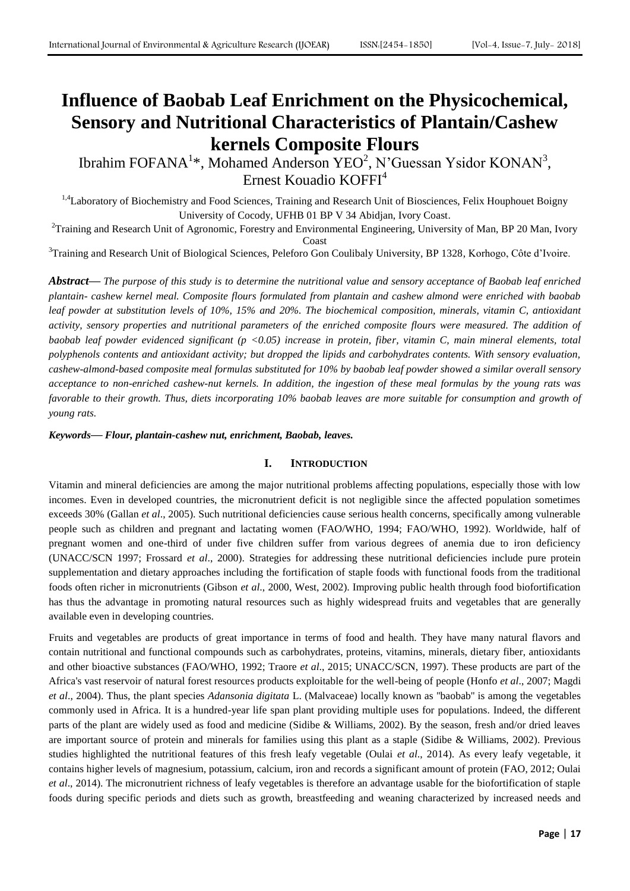# **Influence of Baobab Leaf Enrichment on the Physicochemical, Sensory and Nutritional Characteristics of Plantain/Cashew kernels Composite Flours**

Ibrahim FOFANA<sup>1\*</sup>, Mohamed Anderson YEO<sup>2</sup>, N'Guessan Ysidor KONAN<sup>3</sup>, Ernest Kouadio KOFFI<sup>4</sup>

<sup>1,4</sup>Laboratory of Biochemistry and Food Sciences, Training and Research Unit of Biosciences, Felix Houphouet Boigny University of Cocody, UFHB 01 BP V 34 Abidjan, Ivory Coast.

<sup>2</sup>Training and Research Unit of Agronomic, Forestry and Environmental Engineering, University of Man, BP 20 Man, Ivory Coast

<sup>3</sup>Training and Research Unit of Biological Sciences, Peleforo Gon Coulibaly University, BP 1328, Korhogo, Côte d'Ivoire.

*Abstract***—** *The purpose of this study is to determine the nutritional value and sensory acceptance of Baobab leaf enriched plantain- cashew kernel meal. Composite flours formulated from plantain and cashew almond were enriched with baobab leaf powder at substitution levels of 10%, 15% and 20%. The biochemical composition, minerals, vitamin C, antioxidant activity, sensory properties and nutritional parameters of the enriched composite flours were measured. The addition of baobab leaf powder evidenced significant (p <0.05) increase in protein, fiber, vitamin C, main mineral elements, total polyphenols contents and antioxidant activity; but dropped the lipids and carbohydrates contents. With sensory evaluation, cashew-almond-based composite meal formulas substituted for 10% by baobab leaf powder showed a similar overall sensory acceptance to non-enriched cashew-nut kernels. In addition, the ingestion of these meal formulas by the young rats was favorable to their growth. Thus, diets incorporating 10% baobab leaves are more suitable for consumption and growth of young rats.*

*Keywords***—** *Flour, plantain-cashew nut, enrichment, Baobab, leaves.*

## **I. INTRODUCTION**

Vitamin and mineral deficiencies are among the major nutritional problems affecting populations, especially those with low incomes. Even in developed countries, the micronutrient deficit is not negligible since the affected population sometimes exceeds 30% (Gallan *et al*., 2005). Such nutritional deficiencies cause serious health concerns, specifically among vulnerable people such as children and pregnant and lactating women (FAO/WHO, 1994; FAO/WHO, 1992). Worldwide, half of pregnant women and one-third of under five children suffer from various degrees of anemia due to iron deficiency (UNACC/SCN 1997; Frossard *et al*., 2000). Strategies for addressing these nutritional deficiencies include pure protein supplementation and dietary approaches including the fortification of staple foods with functional foods from the traditional foods often richer in micronutrients (Gibson *et al*., 2000, West, 2002). Improving public health through food biofortification has thus the advantage in promoting natural resources such as highly widespread fruits and vegetables that are generally available even in developing countries.

Fruits and vegetables are products of great importance in terms of food and health. They have many natural flavors and contain nutritional and functional compounds such as carbohydrates, proteins, vitamins, minerals, dietary fiber, antioxidants and other bioactive substances (FAO/WHO, 1992; Traore *et al*., 2015; UNACC/SCN, 1997). These products are part of the Africa's vast reservoir of natural forest resources products exploitable for the well-being of people (Honfo *et al*., 2007; Magdi *et al*., 2004). Thus, the plant species *Adansonia digitata* L. (Malvaceae) locally known as ''baobab'' is among the vegetables commonly used in Africa. It is a hundred-year life span plant providing multiple uses for populations. Indeed, the different parts of the plant are widely used as food and medicine (Sidibe & Williams, 2002). By the season, fresh and/or dried leaves are important source of protein and minerals for families using this plant as a staple (Sidibe & Williams, 2002). Previous studies highlighted the nutritional features of this fresh leafy vegetable (Oulai *et al*., 2014). As every leafy vegetable, it contains higher levels of magnesium, potassium, calcium, iron and records a significant amount of protein (FAO, 2012; Oulai *et al*., 2014). The micronutrient richness of leafy vegetables is therefore an advantage usable for the biofortification of staple foods during specific periods and diets such as growth, breastfeeding and weaning characterized by increased needs and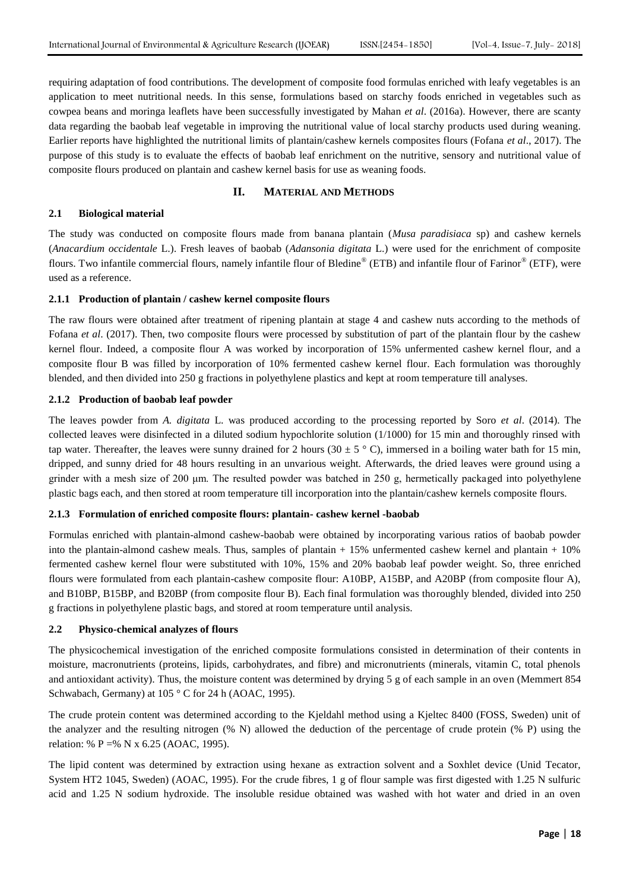requiring adaptation of food contributions. The development of composite food formulas enriched with leafy vegetables is an application to meet nutritional needs. In this sense, formulations based on starchy foods enriched in vegetables such as cowpea beans and moringa leaflets have been successfully investigated by Mahan *et al*. (2016a). However, there are scanty data regarding the baobab leaf vegetable in improving the nutritional value of local starchy products used during weaning. Earlier reports have highlighted the nutritional limits of plantain/cashew kernels composites flours (Fofana *et al*., 2017). The purpose of this study is to evaluate the effects of baobab leaf enrichment on the nutritive, sensory and nutritional value of composite flours produced on plantain and cashew kernel basis for use as weaning foods.

#### **II. MATERIAL AND METHODS**

## **2.1 Biological material**

The study was conducted on composite flours made from banana plantain (*Musa paradisiaca* sp) and cashew kernels (*Anacardium occidentale* L.). Fresh leaves of baobab (*Adansonia digitata* L.) were used for the enrichment of composite flours. Two infantile commercial flours, namely infantile flour of Bledine® (ETB) and infantile flour of Farinor® (ETF), were used as a reference.

#### **2.1.1 Production of plantain / cashew kernel composite flours**

The raw flours were obtained after treatment of ripening plantain at stage 4 and cashew nuts according to the methods of Fofana *et al*. (2017). Then, two composite flours were processed by substitution of part of the plantain flour by the cashew kernel flour. Indeed, a composite flour A was worked by incorporation of 15% unfermented cashew kernel flour, and a composite flour B was filled by incorporation of 10% fermented cashew kernel flour. Each formulation was thoroughly blended, and then divided into 250 g fractions in polyethylene plastics and kept at room temperature till analyses.

#### **2.1.2 Production of baobab leaf powder**

The leaves powder from *A. digitata* L. was produced according to the processing reported by Soro *et al*. (2014). The collected leaves were disinfected in a diluted sodium hypochlorite solution (1/1000) for 15 min and thoroughly rinsed with tap water. Thereafter, the leaves were sunny drained for 2 hours (30  $\pm$  5  $\degree$  C), immersed in a boiling water bath for 15 min, dripped, and sunny dried for 48 hours resulting in an unvarious weight. Afterwards, the dried leaves were ground using a grinder with a mesh size of 200 μm. The resulted powder was batched in 250 g, hermetically packaged into polyethylene plastic bags each, and then stored at room temperature till incorporation into the plantain/cashew kernels composite flours.

## **2.1.3 Formulation of enriched composite flours: plantain- cashew kernel -baobab**

Formulas enriched with plantain-almond cashew-baobab were obtained by incorporating various ratios of baobab powder into the plantain-almond cashew meals. Thus, samples of plantain  $+ 15\%$  unfermented cashew kernel and plantain  $+ 10\%$ fermented cashew kernel flour were substituted with 10%, 15% and 20% baobab leaf powder weight. So, three enriched flours were formulated from each plantain-cashew composite flour: A10BP, A15BP, and A20BP (from composite flour A), and B10BP, B15BP, and B20BP (from composite flour B). Each final formulation was thoroughly blended, divided into 250 g fractions in polyethylene plastic bags, and stored at room temperature until analysis.

## **2.2 Physico-chemical analyzes of flours**

The physicochemical investigation of the enriched composite formulations consisted in determination of their contents in moisture, macronutrients (proteins, lipids, carbohydrates, and fibre) and micronutrients (minerals, vitamin C, total phenols and antioxidant activity). Thus, the moisture content was determined by drying 5 g of each sample in an oven (Memmert 854 Schwabach, Germany) at 105 ° C for 24 h (AOAC, 1995).

The crude protein content was determined according to the Kjeldahl method using a Kjeltec 8400 (FOSS, Sweden) unit of the analyzer and the resulting nitrogen (% N) allowed the deduction of the percentage of crude protein (% P) using the relation: % P =% N x 6.25 (AOAC, 1995).

The lipid content was determined by extraction using hexane as extraction solvent and a Soxhlet device (Unid Tecator, System HT2 1045, Sweden) (AOAC, 1995). For the crude fibres, 1 g of flour sample was first digested with 1.25 N sulfuric acid and 1.25 N sodium hydroxide. The insoluble residue obtained was washed with hot water and dried in an oven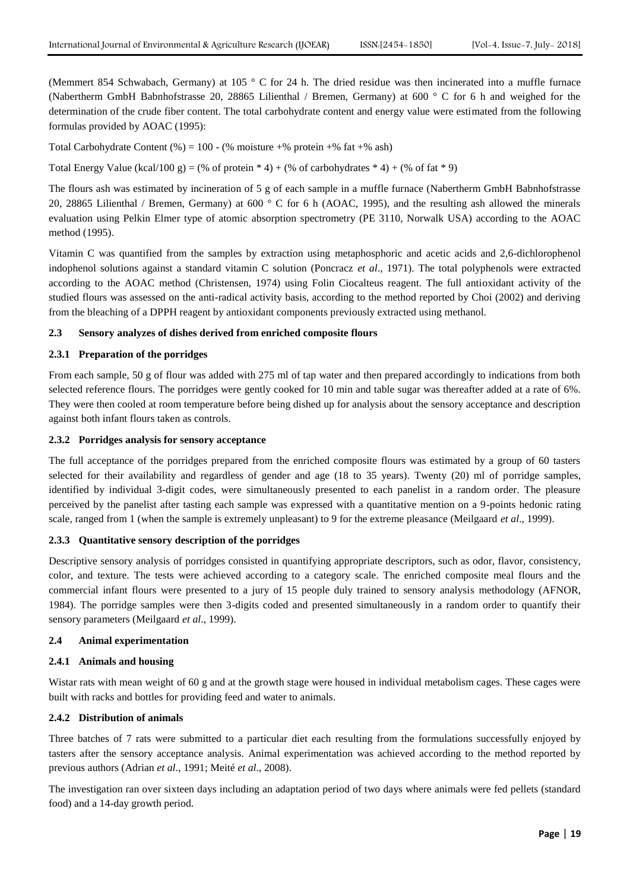(Memmert 854 Schwabach, Germany) at 105 ° C for 24 h. The dried residue was then incinerated into a muffle furnace (Nabertherm GmbH Babnhofstrasse 20, 28865 Lilienthal / Bremen, Germany) at 600 ° C for 6 h and weighed for the determination of the crude fiber content. The total carbohydrate content and energy value were estimated from the following formulas provided by AOAC (1995):

Total Carbohydrate Content (%) = 100 - (% moisture +% protein +% fat +% ash)

Total Energy Value (kcal/100 g) = (% of protein  $* 4$ ) + (% of carbohydrates  $* 4$ ) + (% of fat  $* 9$ )

The flours ash was estimated by incineration of 5 g of each sample in a muffle furnace (Nabertherm GmbH Babnhofstrasse 20, 28865 Lilienthal / Bremen, Germany) at 600 ° C for 6 h (AOAC, 1995), and the resulting ash allowed the minerals evaluation using Pelkin Elmer type of atomic absorption spectrometry (PE 3110, Norwalk USA) according to the AOAC method (1995).

Vitamin C was quantified from the samples by extraction using metaphosphoric and acetic acids and 2,6-dichlorophenol indophenol solutions against a standard vitamin C solution (Poncracz *et al*., 1971). The total polyphenols were extracted according to the AOAC method (Christensen, 1974) using Folin Ciocalteus reagent. The full antioxidant activity of the studied flours was assessed on the anti-radical activity basis, according to the method reported by Choi (2002) and deriving from the bleaching of a DPPH reagent by antioxidant components previously extracted using methanol.

## **2.3 Sensory analyzes of dishes derived from enriched composite flours**

## **2.3.1 Preparation of the porridges**

From each sample, 50 g of flour was added with 275 ml of tap water and then prepared accordingly to indications from both selected reference flours. The porridges were gently cooked for 10 min and table sugar was thereafter added at a rate of 6%. They were then cooled at room temperature before being dished up for analysis about the sensory acceptance and description against both infant flours taken as controls.

#### **2.3.2 Porridges analysis for sensory acceptance**

The full acceptance of the porridges prepared from the enriched composite flours was estimated by a group of 60 tasters selected for their availability and regardless of gender and age (18 to 35 years). Twenty (20) ml of porridge samples, identified by individual 3-digit codes, were simultaneously presented to each panelist in a random order. The pleasure perceived by the panelist after tasting each sample was expressed with a quantitative mention on a 9-points hedonic rating scale, ranged from 1 (when the sample is extremely unpleasant) to 9 for the extreme pleasance (Meilgaard *et al*., 1999).

## **2.3.3 Quantitative sensory description of the porridges**

Descriptive sensory analysis of porridges consisted in quantifying appropriate descriptors, such as odor, flavor, consistency, color, and texture. The tests were achieved according to a category scale. The enriched composite meal flours and the commercial infant flours were presented to a jury of 15 people duly trained to sensory analysis methodology (AFNOR, 1984). The porridge samples were then 3-digits coded and presented simultaneously in a random order to quantify their sensory parameters (Meilgaard *et al*., 1999).

#### **2.4 Animal experimentation**

## **2.4.1 Animals and housing**

Wistar rats with mean weight of 60 g and at the growth stage were housed in individual metabolism cages. These cages were built with racks and bottles for providing feed and water to animals.

#### **2.4.2 Distribution of animals**

Three batches of 7 rats were submitted to a particular diet each resulting from the formulations successfully enjoyed by tasters after the sensory acceptance analysis. Animal experimentation was achieved according to the method reported by previous authors (Adrian *et al*., 1991; Meité *et al*., 2008).

The investigation ran over sixteen days including an adaptation period of two days where animals were fed pellets (standard food) and a 14-day growth period.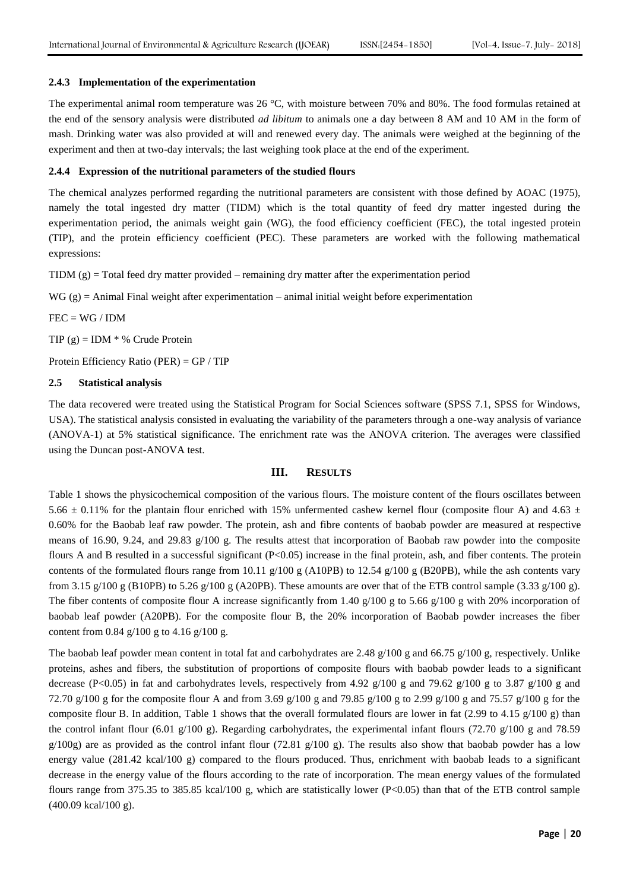#### **2.4.3 Implementation of the experimentation**

The experimental animal room temperature was 26 °C, with moisture between 70% and 80%. The food formulas retained at the end of the sensory analysis were distributed *ad libitum* to animals one a day between 8 AM and 10 AM in the form of mash. Drinking water was also provided at will and renewed every day. The animals were weighed at the beginning of the experiment and then at two-day intervals; the last weighing took place at the end of the experiment.

#### **2.4.4 Expression of the nutritional parameters of the studied flours**

The chemical analyzes performed regarding the nutritional parameters are consistent with those defined by AOAC (1975), namely the total ingested dry matter (TIDM) which is the total quantity of feed dry matter ingested during the experimentation period, the animals weight gain (WG), the food efficiency coefficient (FEC), the total ingested protein (TIP), and the protein efficiency coefficient (PEC). These parameters are worked with the following mathematical expressions:

TIDM  $(g)$  = Total feed dry matter provided – remaining dry matter after the experimentation period

 $WG(g) = Animal Final Weight after experimentation – animal initial weight before experimentation$ 

## $FEC = WG / IDM$

TIP  $(g)$  = IDM  $*$  % Crude Protein

Protein Efficiency Ratio (PER) = GP / TIP

#### **2.5 Statistical analysis**

The data recovered were treated using the Statistical Program for Social Sciences software (SPSS 7.1, SPSS for Windows, USA). The statistical analysis consisted in evaluating the variability of the parameters through a one-way analysis of variance (ANOVA-1) at 5% statistical significance. The enrichment rate was the ANOVA criterion. The averages were classified using the Duncan post-ANOVA test.

## **III. RESULTS**

Table 1 shows the physicochemical composition of the various flours. The moisture content of the flours oscillates between 5.66  $\pm$  0.11% for the plantain flour enriched with 15% unfermented cashew kernel flour (composite flour A) and 4.63  $\pm$ 0.60% for the Baobab leaf raw powder. The protein, ash and fibre contents of baobab powder are measured at respective means of 16.90, 9.24, and 29.83 g/100 g. The results attest that incorporation of Baobab raw powder into the composite flours A and B resulted in a successful significant (P<0.05) increase in the final protein, ash, and fiber contents. The protein contents of the formulated flours range from 10.11  $g/100 g$  (A10PB) to 12.54  $g/100 g$  (B20PB), while the ash contents vary from 3.15 g/100 g (B10PB) to 5.26 g/100 g (A20PB). These amounts are over that of the ETB control sample (3.33 g/100 g). The fiber contents of composite flour A increase significantly from 1.40 g/100 g to 5.66 g/100 g with 20% incorporation of baobab leaf powder (A20PB). For the composite flour B, the 20% incorporation of Baobab powder increases the fiber content from 0.84  $g/100 g$  to 4.16  $g/100 g$ .

The baobab leaf powder mean content in total fat and carbohydrates are 2.48  $g/100$  g and 66.75  $g/100$  g, respectively. Unlike proteins, ashes and fibers, the substitution of proportions of composite flours with baobab powder leads to a significant decrease (P<0.05) in fat and carbohydrates levels, respectively from 4.92 g/100 g and 79.62 g/100 g to 3.87 g/100 g and 72.70 g/100 g for the composite flour A and from 3.69 g/100 g and 79.85 g/100 g to 2.99 g/100 g and 75.57 g/100 g for the composite flour B. In addition, Table 1 shows that the overall formulated flours are lower in fat  $(2.99 \text{ to } 4.15 \text{ g}/100 \text{ g})$  than the control infant flour (6.01 g/100 g). Regarding carbohydrates, the experimental infant flours (72.70 g/100 g and 78.59  $g/100g$ ) are as provided as the control infant flour (72.81  $g/100 g$ ). The results also show that baobab powder has a low energy value  $(281.42 \text{ kcal}/100 \text{ g})$  compared to the flours produced. Thus, enrichment with baobab leads to a significant decrease in the energy value of the flours according to the rate of incorporation. The mean energy values of the formulated flours range from 375.35 to 385.85 kcal/100 g, which are statistically lower (P<0.05) than that of the ETB control sample (400.09 kcal/100 g).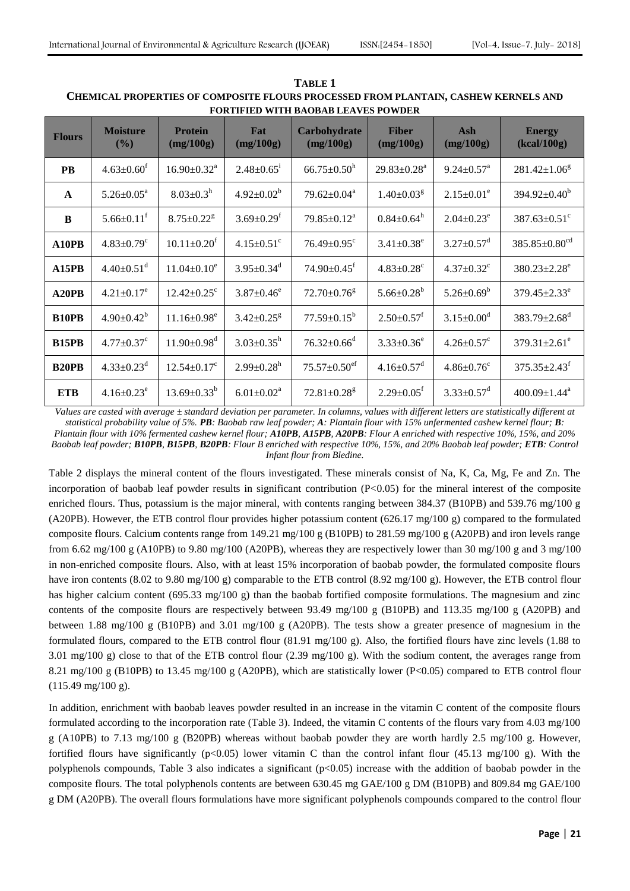| <b>Flours</b>     | <b>Moisture</b><br>(%)       | <b>Protein</b><br>(mg/100g)   | Fat<br>(mg/100g)             | Carbohydrate<br>(mg/100g)      | <b>Fiber</b><br>(mg/100g)     | Ash<br>(mg/100g)             | <b>Energy</b><br>(kcal/100g)    |
|-------------------|------------------------------|-------------------------------|------------------------------|--------------------------------|-------------------------------|------------------------------|---------------------------------|
| <b>PB</b>         | $4.63 \pm 0.60^{\text{t}}$   | $16.90 \pm 0.32$ <sup>a</sup> | $2.48 \pm 0.65$ <sup>1</sup> | $66.75 \pm 0.50$ <sup>h</sup>  | $29.83 \pm 0.28$ <sup>a</sup> | $9.24 \pm 0.57$ <sup>a</sup> | $281.42 \pm 1.06^8$             |
| $\mathbf{A}$      | $5.26 \pm 0.05^a$            | $8.03 \pm 0.3^{\rm h}$        | $4.92 \pm 0.02^b$            | $79.62 \pm 0.04^a$             | $1.40 \pm 0.03$ <sup>g</sup>  | $2.15 \pm 0.01^e$            | $394.92 \pm 0.40^b$             |
| B                 | $5.66 \pm 0.11$ <sup>f</sup> | $8.75 \pm 0.22$ <sup>g</sup>  | $3.69 \pm 0.29$ <sup>t</sup> | $79.85 \pm 0.12^a$             | $0.84 \pm 0.64^{\rm h}$       | $2.04 \pm 0.23^e$            | $387.63 \pm 0.51$ <sup>c</sup>  |
| A10PB             | $4.83 \pm 0.79$ <sup>c</sup> | $10.11 \pm 0.20^t$            | $4.15 \pm 0.51$ <sup>c</sup> | $76.49 \pm 0.95$ <sup>c</sup>  | $3.41 \pm 0.38^e$             | $3.27 \pm 0.57$ <sup>d</sup> | $385.85 \pm 0.80$ <sup>cd</sup> |
| A15PB             | $4.40 \pm 0.51$ <sup>d</sup> | $11.04 \pm 0.10^e$            | $3.95 \pm 0.34$ <sup>d</sup> | $74.90 \pm 0.45$ <sup>f</sup>  | $4.83 \pm 0.28$ <sup>c</sup>  | $4.37 \pm 0.32$ <sup>c</sup> | $380.23 \pm 2.28$ <sup>e</sup>  |
| A20PB             | $4.21 \pm 0.17$ <sup>e</sup> | $12.42 \pm 0.25$ <sup>c</sup> | $3.87 \pm 0.46^e$            | $72.70 \pm 0.76$ <sup>g</sup>  | $5.66 \pm 0.28^b$             | $5.26 \pm 0.69^b$            | $379.45 \pm 2.33^e$             |
| B <sub>10PB</sub> | $4.90 \pm 0.42^b$            | $11.16 \pm 0.98$ <sup>e</sup> | $3.42 \pm 0.25$ <sup>g</sup> | $77.59 \pm 0.15^{\rm b}$       | $2.50 \pm 0.57$ <sup>f</sup>  | $3.15 \pm 0.00^d$            | 383.79 $\pm$ 2.68 <sup>d</sup>  |
| <b>B15PB</b>      | $4.77 \pm 0.37$ <sup>c</sup> | $11.90 \pm 0.98$ <sup>d</sup> | $3.03 \pm 0.35^h$            | $76.32 \pm 0.66$ <sup>d</sup>  | $3.33 \pm 0.36^e$             | $4.26 \pm 0.57$ <sup>c</sup> | $379.31 \pm 2.61$ <sup>e</sup>  |
| <b>B20PB</b>      | $4.33 \pm 0.23$ <sup>d</sup> | $12.54 \pm 0.17^c$            | $2.99 \pm 0.28$ <sup>h</sup> | $75.57 \pm 0.50$ <sup>ef</sup> | $4.16 \pm 0.57$ <sup>d</sup>  | $4.86 \pm 0.76$ <sup>c</sup> | $375.35 \pm 2.43$ <sup>f</sup>  |
| <b>ETB</b>        | $4.16 \pm 0.23$ <sup>e</sup> | $13.69 \pm 0.33^b$            | $6.01 \pm 0.02^{\text{a}}$   | $72.81 \pm 0.28$ <sup>g</sup>  | $2.29 \pm 0.05^{\text{t}}$    | $3.33 \pm 0.57$ <sup>d</sup> | $400.09 \pm 1.44$ <sup>a</sup>  |

**TABLE 1 CHEMICAL PROPERTIES OF COMPOSITE FLOURS PROCESSED FROM PLANTAIN, CASHEW KERNELS AND FORTIFIED WITH BAOBAB LEAVES POWDER**

*Values are casted with average ± standard deviation per parameter. In columns, values with different letters are statistically different at statistical probability value of 5%. PB: Baobab raw leaf powder; A: Plantain flour with 15% unfermented cashew kernel flour; B: Plantain flour with 10% fermented cashew kernel flour; A10PB, A15PB, A20PB: Flour A enriched with respective 10%, 15%, and 20% Baobab leaf powder; B10PB, B15PB, B20PB: Flour B enriched with respective 10%, 15%, and 20% Baobab leaf powder; ETB: Control Infant flour from Bledine.*

Table 2 displays the mineral content of the flours investigated. These minerals consist of Na, K, Ca, Mg, Fe and Zn. The incorporation of baobab leaf powder results in significant contribution  $(P<0.05)$  for the mineral interest of the composite enriched flours. Thus, potassium is the major mineral, with contents ranging between 384.37 (B10PB) and 539.76 mg/100 g (A20PB). However, the ETB control flour provides higher potassium content (626.17 mg/100 g) compared to the formulated composite flours. Calcium contents range from 149.21 mg/100 g (B10PB) to 281.59 mg/100 g (A20PB) and iron levels range from 6.62 mg/100 g (A10PB) to 9.80 mg/100 (A20PB), whereas they are respectively lower than 30 mg/100 g and 3 mg/100 in non-enriched composite flours. Also, with at least 15% incorporation of baobab powder, the formulated composite flours have iron contents (8.02 to 9.80 mg/100 g) comparable to the ETB control (8.92 mg/100 g). However, the ETB control flour has higher calcium content (695.33 mg/100 g) than the baobab fortified composite formulations. The magnesium and zinc contents of the composite flours are respectively between 93.49 mg/100 g (B10PB) and 113.35 mg/100 g (A20PB) and between 1.88 mg/100 g (B10PB) and 3.01 mg/100 g (A20PB). The tests show a greater presence of magnesium in the formulated flours, compared to the ETB control flour (81.91 mg/100 g). Also, the fortified flours have zinc levels (1.88 to 3.01 mg/100 g) close to that of the ETB control flour (2.39 mg/100 g). With the sodium content, the averages range from 8.21 mg/100 g (B10PB) to 13.45 mg/100 g (A20PB), which are statistically lower (P<0.05) compared to ETB control flour  $(115.49 \text{ mg}/100 \text{ g}).$ 

In addition, enrichment with baobab leaves powder resulted in an increase in the vitamin C content of the composite flours formulated according to the incorporation rate (Table 3). Indeed, the vitamin C contents of the flours vary from 4.03 mg/100 g (A10PB) to 7.13 mg/100 g (B20PB) whereas without baobab powder they are worth hardly 2.5 mg/100 g. However, fortified flours have significantly ( $p<0.05$ ) lower vitamin C than the control infant flour (45.13 mg/100 g). With the polyphenols compounds, Table 3 also indicates a significant (p<0.05) increase with the addition of baobab powder in the composite flours. The total polyphenols contents are between 630.45 mg GAE/100 g DM (B10PB) and 809.84 mg GAE/100 g DM (A20PB). The overall flours formulations have more significant polyphenols compounds compared to the control flour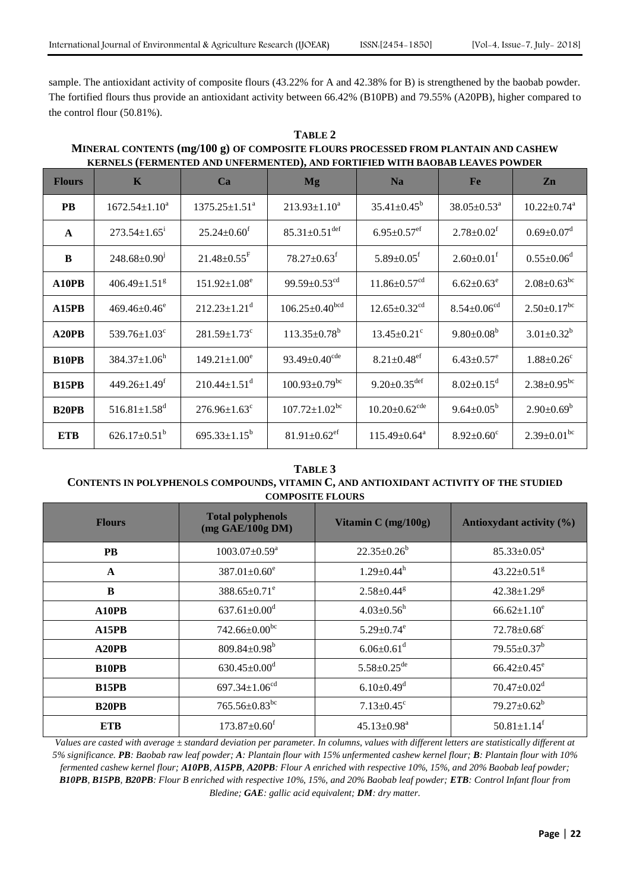sample. The antioxidant activity of composite flours (43.22% for A and 42.38% for B) is strengthened by the baobab powder. The fortified flours thus provide an antioxidant activity between 66.42% (B10PB) and 79.55% (A20PB), higher compared to the control flour (50.81%).

# **TABLE 2 MINERAL CONTENTS (mg/100 g) OF COMPOSITE FLOURS PROCESSED FROM PLANTAIN AND CASHEW KERNELS (FERMENTED AND UNFERMENTED), AND FORTIFIED WITH BAOBAB LEAVES POWDER**

| <b>Flours</b> | $\mathbf K$                    | Ca                             | <b>Mg</b>                        | <b>Na</b>                       | <b>Fe</b>                     | Zn                            |
|---------------|--------------------------------|--------------------------------|----------------------------------|---------------------------------|-------------------------------|-------------------------------|
| <b>PB</b>     | $1672.54 \pm 1.10^a$           | $1375.25 \pm 1.51^{\circ}$     | $213.93 \pm 1.10^a$              | $35.41 \pm 0.45^b$              | $38.05 \pm 0.53$ <sup>a</sup> | $10.22 \pm 0.74$ <sup>a</sup> |
| $\mathbf A$   | $273.54 \pm 1.65$ <sup>i</sup> | $25.24 \pm 0.60^{\text{f}}$    | $85.31 \pm 0.51$ <sup>def</sup>  | $6.95 \pm 0.57$ <sup>ef</sup>   | $2.78 \pm 0.02$ <sup>f</sup>  | $0.69 \pm 0.07$ <sup>d</sup>  |
| B             | $248.68 \pm 0.90$ <sup>1</sup> | $21.48 \pm 0.55$ <sup>F</sup>  | $78.27 \pm 0.63$ <sup>f</sup>    | $5.89 \pm 0.05$ <sup>f</sup>    | $2.60 \pm 0.01$ <sup>f</sup>  | $0.55 \pm 0.06$ <sup>d</sup>  |
| A10PB         | $406.49 \pm 1.51$ <sup>g</sup> | $151.92 \pm 1.08^e$            | 99.59 $\pm$ 0.53 <sup>cd</sup>   | $11.86 \pm 0.57$ <sup>cd</sup>  | $6.62 \pm 0.63^e$             | $2.08 \pm 0.63$ <sup>bc</sup> |
| A15PB         | $469.46 \pm 0.46^e$            | $212.23 \pm 1.21$ <sup>d</sup> | $106.25 \pm 0.40$ <sup>bcd</sup> | $12.65 \pm 0.32$ <sup>cd</sup>  | $8.54 \pm 0.06$ <sup>cd</sup> | $2.50 \pm 0.17$ <sup>bc</sup> |
| A20PB         | $539.76 \pm 1.03$ <sup>c</sup> | $281.59 \pm 1.73$ <sup>c</sup> | $113.35 \pm 0.78^b$              | $13.45 \pm 0.21$ <sup>c</sup>   | $9.80 \pm 0.08^b$             | $3.01 \pm 0.32^b$             |
| <b>B10PB</b>  | $384.37 \pm 1.06^h$            | $149.21 \pm 1.00^e$            | 93.49 $\pm$ 0.40 <sup>cde</sup>  | $8.21 \pm 0.48$ <sup>ef</sup>   | $6.43 \pm 0.57$ <sup>e</sup>  | $1.88 \pm 0.26$ <sup>c</sup>  |
| <b>B15PB</b>  | $449.26 \pm 1.49$ <sup>f</sup> | $210.44 \pm 1.51$ <sup>d</sup> | $100.93 \pm 0.79$ <sup>bc</sup>  | $9.20 \pm 0.35$ <sup>def</sup>  | $8.02 \pm 0.15$ <sup>d</sup>  | $2.38 \pm 0.95$ <sup>bc</sup> |
| <b>B20PB</b>  | $516.81 \pm 1.58$ <sup>d</sup> | $276.96 \pm 1.63$ <sup>c</sup> | $107.72 \pm 1.02$ <sup>bc</sup>  | $10.20 \pm 0.62$ <sup>cde</sup> | $9.64 \pm 0.05^b$             | $2.90 \pm 0.69^b$             |
| <b>ETB</b>    | $626.17 \pm 0.51^b$            | 695.33 $\pm$ 1.15 <sup>b</sup> | $81.91 \pm 0.62$ <sup>ef</sup>   | $115.49 \pm 0.64^{\text{a}}$    | $8.92 \pm 0.60^{\circ}$       | $2.39 \pm 0.01$ <sup>bc</sup> |

## **TABLE 3 CONTENTS IN POLYPHENOLS COMPOUNDS, VITAMIN C, AND ANTIOXIDANT ACTIVITY OF THE STUDIED COMPOSITE FLOURS**

| <b>Flours</b> | <b>Total polyphenols</b><br>$(mg \text{ GAE}/100g \text{ DM})$ | Vitamin $C$ (mg/100g)         | Antioxydant activity (%)      |  |  |
|---------------|----------------------------------------------------------------|-------------------------------|-------------------------------|--|--|
| <b>PB</b>     | $1003.07 \pm 0.59^a$                                           | $22.35 \pm 0.26^b$            | $85.33 \pm 0.05^a$            |  |  |
| $\mathbf{A}$  | 387.01 $\pm$ 0.60 $^{\circ}$                                   | $1.29 \pm 0.44^h$             | $43.22 \pm 0.51$ <sup>g</sup> |  |  |
| B             | $388.65 \pm 0.71^e$                                            | $2.58 \pm 0.44$ <sup>g</sup>  | $42.38 \pm 1.29$ <sup>g</sup> |  |  |
| A10PB         | $637.61 \pm 0.00$ <sup>d</sup>                                 | $4.03 \pm 0.56^h$             | $66.62 \pm 1.10^e$            |  |  |
| A15PB         | $742.66 \pm 0.00^{bc}$                                         | $5.29 \pm 0.74$ <sup>e</sup>  | $72.78 \pm 0.68$ <sup>c</sup> |  |  |
| A20PB         | 809.84 $\pm$ 0.98 <sup>b</sup>                                 | $6.06 \pm 0.61$ <sup>d</sup>  | $79.55 \pm 0.37^b$            |  |  |
| <b>B10PB</b>  | $630.45 \pm 0.00$ <sup>d</sup>                                 | $5.58 \pm 0.25$ <sup>de</sup> | $66.42{\pm}0.45^e$            |  |  |
| <b>B15PB</b>  | 697.34 $\pm$ 1.06 <sup>cd</sup>                                | $6.10 \pm 0.49$ <sup>d</sup>  | $70.47 \pm 0.02$ <sup>d</sup> |  |  |
| <b>B20PB</b>  | $765.56 \pm 0.83$ bc                                           | $7.13 \pm 0.45$ <sup>c</sup>  | $79.27 \pm 0.62^b$            |  |  |
| <b>ETB</b>    | $173.87 \pm 0.60$ <sup>f</sup>                                 | $45.13 \pm 0.98^a$            | $50.81 \pm 1.14$ <sup>f</sup> |  |  |

*Values are casted with average ± standard deviation per parameter. In columns, values with different letters are statistically different at 5% significance. PB: Baobab raw leaf powder; A: Plantain flour with 15% unfermented cashew kernel flour; B: Plantain flour with 10% fermented cashew kernel flour; A10PB, A15PB, A20PB: Flour A enriched with respective 10%, 15%, and 20% Baobab leaf powder; B10PB, B15PB, B20PB: Flour B enriched with respective 10%, 15%, and 20% Baobab leaf powder; ETB: Control Infant flour from Bledine; GAE: gallic acid equivalent; DM: dry matter.*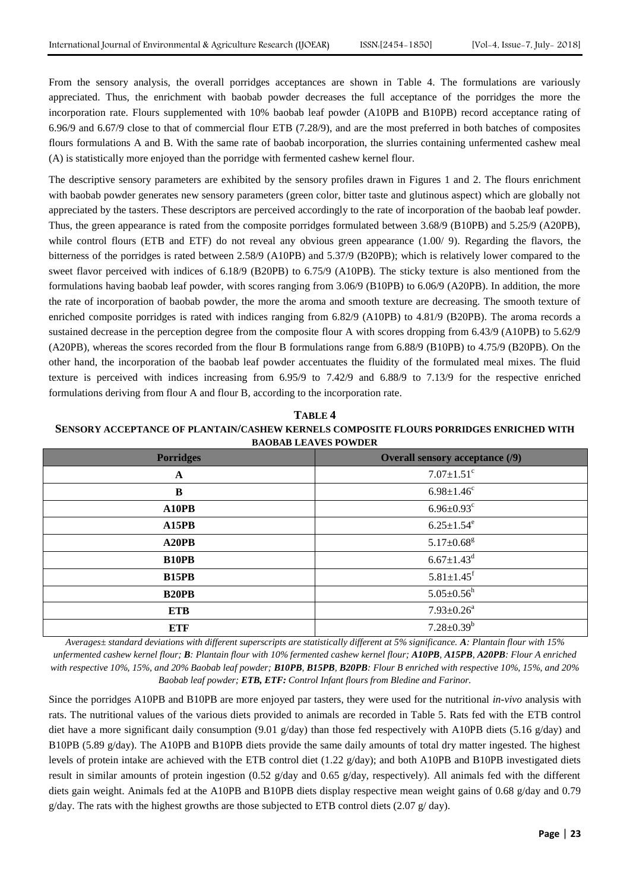From the sensory analysis, the overall porridges acceptances are shown in Table 4. The formulations are variously appreciated. Thus, the enrichment with baobab powder decreases the full acceptance of the porridges the more the incorporation rate. Flours supplemented with 10% baobab leaf powder (A10PB and B10PB) record acceptance rating of 6.96/9 and 6.67/9 close to that of commercial flour ETB (7.28/9), and are the most preferred in both batches of composites flours formulations A and B. With the same rate of baobab incorporation, the slurries containing unfermented cashew meal (A) is statistically more enjoyed than the porridge with fermented cashew kernel flour.

The descriptive sensory parameters are exhibited by the sensory profiles drawn in Figures 1 and 2. The flours enrichment with baobab powder generates new sensory parameters (green color, bitter taste and glutinous aspect) which are globally not appreciated by the tasters. These descriptors are perceived accordingly to the rate of incorporation of the baobab leaf powder. Thus, the green appearance is rated from the composite porridges formulated between 3.68/9 (B10PB) and 5.25/9 (A20PB), while control flours (ETB and ETF) do not reveal any obvious green appearance  $(1.00/9)$ . Regarding the flavors, the bitterness of the porridges is rated between 2.58/9 (A10PB) and 5.37/9 (B20PB); which is relatively lower compared to the sweet flavor perceived with indices of 6.18/9 (B20PB) to 6.75/9 (A10PB). The sticky texture is also mentioned from the formulations having baobab leaf powder, with scores ranging from 3.06/9 (B10PB) to 6.06/9 (A20PB). In addition, the more the rate of incorporation of baobab powder, the more the aroma and smooth texture are decreasing. The smooth texture of enriched composite porridges is rated with indices ranging from 6.82/9 (A10PB) to 4.81/9 (B20PB). The aroma records a sustained decrease in the perception degree from the composite flour A with scores dropping from 6.43/9 (A10PB) to 5.62/9 (A20PB), whereas the scores recorded from the flour B formulations range from 6.88/9 (B10PB) to 4.75/9 (B20PB). On the other hand, the incorporation of the baobab leaf powder accentuates the fluidity of the formulated meal mixes. The fluid texture is perceived with indices increasing from 6.95/9 to 7.42/9 and 6.88/9 to 7.13/9 for the respective enriched formulations deriving from flour A and flour B, according to the incorporation rate.

**TABLE 4 SENSORY ACCEPTANCE OF PLANTAIN/CASHEW KERNELS COMPOSITE FLOURS PORRIDGES ENRICHED WITH BAOBAB LEAVES POWDER**

| <b>Porridges</b>   | <b>Overall sensory acceptance (/9)</b> |
|--------------------|----------------------------------------|
| A                  | $7.07 \pm 1.51$ <sup>c</sup>           |
| $\bf{B}$           | $6.98 \pm 1.46$ <sup>c</sup>           |
| A10PB              | $6.96 \pm 0.93$ <sup>c</sup>           |
| A15PB              | $6.25 \pm 1.54$ <sup>e</sup>           |
| A <sub>20</sub> PB | $5.17 \pm 0.68$ <sup>g</sup>           |
| <b>B10PB</b>       | $6.67 \pm 1.43$ <sup>d</sup>           |
| <b>B15PB</b>       | $5.81 \pm 1.45$ <sup>f</sup>           |
| <b>B20PB</b>       | $5.05 \pm 0.56^h$                      |
| <b>ETB</b>         | $7.93 \pm 0.26^a$                      |
| <b>ETF</b>         | $7.28 \pm 0.39^b$                      |

*Averages± standard deviations with different superscripts are statistically different at 5% significance. A: Plantain flour with 15% unfermented cashew kernel flour; B: Plantain flour with 10% fermented cashew kernel flour; A10PB, A15PB, A20PB: Flour A enriched with respective 10%, 15%, and 20% Baobab leaf powder; B10PB, B15PB, B20PB: Flour B enriched with respective 10%, 15%, and 20% Baobab leaf powder; ETB, ETF: Control Infant flours from Bledine and Farinor.*

Since the porridges A10PB and B10PB are more enjoyed par tasters, they were used for the nutritional *in-vivo* analysis with rats. The nutritional values of the various diets provided to animals are recorded in Table 5. Rats fed with the ETB control diet have a more significant daily consumption (9.01  $g/day$ ) than those fed respectively with A10PB diets (5.16  $g/day$ ) and B10PB (5.89 g/day). The A10PB and B10PB diets provide the same daily amounts of total dry matter ingested. The highest levels of protein intake are achieved with the ETB control diet (1.22 g/day); and both A10PB and B10PB investigated diets result in similar amounts of protein ingestion (0.52 g/day and 0.65 g/day, respectively). All animals fed with the different diets gain weight. Animals fed at the A10PB and B10PB diets display respective mean weight gains of 0.68 g/day and 0.79  $g/day$ . The rats with the highest growths are those subjected to ETB control diets (2.07  $g/day$ ).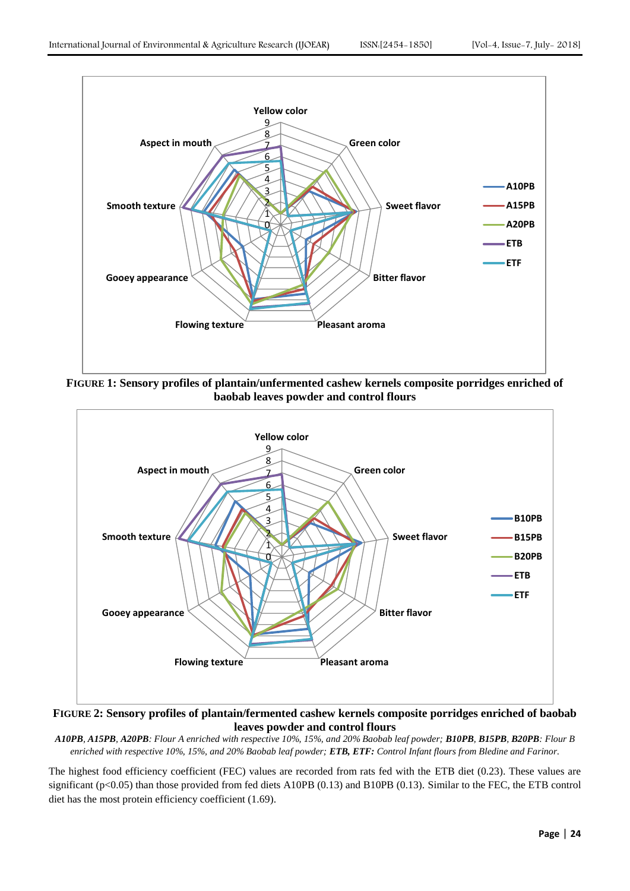

**FIGURE 1: Sensory profiles of plantain/unfermented cashew kernels composite porridges enriched of baobab leaves powder and control flours**



**FIGURE 2: Sensory profiles of plantain/fermented cashew kernels composite porridges enriched of baobab leaves powder and control flours**

*A10PB, A15PB, A20PB: Flour A enriched with respective 10%, 15%, and 20% Baobab leaf powder; B10PB, B15PB, B20PB: Flour B enriched with respective 10%, 15%, and 20% Baobab leaf powder; ETB, ETF: Control Infant flours from Bledine and Farinor.*

The highest food efficiency coefficient (FEC) values are recorded from rats fed with the ETB diet (0.23). These values are significant ( $p<0.05$ ) than those provided from fed diets A10PB (0.13) and B10PB (0.13). Similar to the FEC, the ETB control diet has the most protein efficiency coefficient (1.69).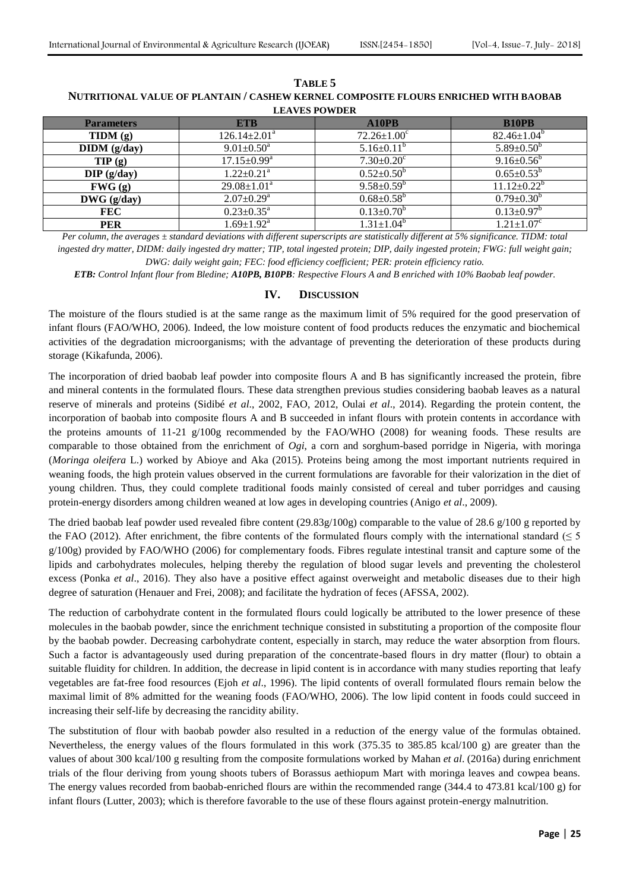| <b>Parameters</b> | <b>ETB</b>                   | A10PB                        | <b>B10PB</b>                 |
|-------------------|------------------------------|------------------------------|------------------------------|
| TIDM(g)           | $126.14 \pm 2.01^a$          | $72.26 \pm 1.00^c$           | $82.46 \pm 1.04^b$           |
| DIDM(g/day)       | $9.01 \pm 0.50^{\circ}$      | $5.16 \pm 0.11^b$            | $5.89 \pm 0.50^{\circ}$      |
| TIP(g)            | $17.15 \pm 0.99^{\text{a}}$  | $7.30 \pm 0.20$ <sup>c</sup> | $9.16 \pm 0.56^{\circ}$      |
| $DIP$ (g/day)     | $1.22 \pm 0.21$ <sup>a</sup> | $0.52 \pm 0.50^b$            | $0.65 \pm 0.53^{\circ}$      |
| FWG(g)            | $29.08 \pm 1.01^{\text{a}}$  | $9.58 \pm 0.59^b$            | $11.12 \pm 0.22^b$           |
| $DWG$ (g/day)     | $2.07 \pm 0.29^{\text{a}}$   | $0.68 \pm 0.58^b$            | $0.79 \pm 0.30^{\circ}$      |
| <b>FEC</b>        | $0.23 \pm 0.35^{\text{a}}$   | $0.13 \pm 0.70^{\circ}$      | $0.13 \pm 0.97$ <sup>b</sup> |
| <b>PER</b>        | $1.69 \pm 1.92$ <sup>a</sup> | $1.31 \pm 1.04^{\circ}$      | $1.21 \pm 1.07^c$            |

**TABLE 5 NUTRITIONAL VALUE OF PLANTAIN / CASHEW KERNEL COMPOSITE FLOURS ENRICHED WITH BAOBAB LEAVES POWDER**

*Per column, the averages ± standard deviations with different superscripts are statistically different at 5% significance. TIDM: total ingested dry matter, DIDM: daily ingested dry matter; TIP, total ingested protein; DIP, daily ingested protein; FWG: full weight gain;* 

*DWG: daily weight gain; FEC: food efficiency coefficient; PER: protein efficiency ratio.*

*ETB: Control Infant flour from Bledine; A10PB, B10PB: Respective Flours A and B enriched with 10% Baobab leaf powder.*

## **IV. DISCUSSION**

The moisture of the flours studied is at the same range as the maximum limit of 5% required for the good preservation of infant flours (FAO/WHO, 2006). Indeed, the low moisture content of food products reduces the enzymatic and biochemical activities of the degradation microorganisms; with the advantage of preventing the deterioration of these products during storage (Kikafunda, 2006).

The incorporation of dried baobab leaf powder into composite flours A and B has significantly increased the protein, fibre and mineral contents in the formulated flours. These data strengthen previous studies considering baobab leaves as a natural reserve of minerals and proteins (Sidibé *et al*., 2002, FAO, 2012, Oulai *et al*., 2014). Regarding the protein content, the incorporation of baobab into composite flours A and B succeeded in infant flours with protein contents in accordance with the proteins amounts of 11-21 g/100g recommended by the FAO/WHO (2008) for weaning foods. These results are comparable to those obtained from the enrichment of *Ogi*, a corn and sorghum-based porridge in Nigeria, with moringa (*Moringa oleifera* L.) worked by Abioye and Aka (2015). Proteins being among the most important nutrients required in weaning foods, the high protein values observed in the current formulations are favorable for their valorization in the diet of young children. Thus, they could complete traditional foods mainly consisted of cereal and tuber porridges and causing protein-energy disorders among children weaned at low ages in developing countries (Anigo *et al*., 2009).

The dried baobab leaf powder used revealed fibre content (29.83g/100g) comparable to the value of 28.6 g/100 g reported by the FAO (2012). After enrichment, the fibre contents of the formulated flours comply with the international standard ( $\leq$  5 g/100g) provided by FAO/WHO (2006) for complementary foods. Fibres regulate intestinal transit and capture some of the lipids and carbohydrates molecules, helping thereby the regulation of blood sugar levels and preventing the cholesterol excess (Ponka *et al*., 2016). They also have a positive effect against overweight and metabolic diseases due to their high degree of saturation (Henauer and Frei, 2008); and facilitate the hydration of feces (AFSSA, 2002).

The reduction of carbohydrate content in the formulated flours could logically be attributed to the lower presence of these molecules in the baobab powder, since the enrichment technique consisted in substituting a proportion of the composite flour by the baobab powder. Decreasing carbohydrate content, especially in starch, may reduce the water absorption from flours. Such a factor is advantageously used during preparation of the concentrate-based flours in dry matter (flour) to obtain a suitable fluidity for children. In addition, the decrease in lipid content is in accordance with many studies reporting that leafy vegetables are fat-free food resources (Ejoh *et al*., 1996). The lipid contents of overall formulated flours remain below the maximal limit of 8% admitted for the weaning foods (FAO/WHO, 2006). The low lipid content in foods could succeed in increasing their self-life by decreasing the rancidity ability.

The substitution of flour with baobab powder also resulted in a reduction of the energy value of the formulas obtained. Nevertheless, the energy values of the flours formulated in this work (375.35 to 385.85 kcal/100 g) are greater than the values of about 300 kcal/100 g resulting from the composite formulations worked by Mahan *et al*. (2016a) during enrichment trials of the flour deriving from young shoots tubers of Borassus aethiopum Mart with moringa leaves and cowpea beans. The energy values recorded from baobab-enriched flours are within the recommended range (344.4 to 473.81 kcal/100 g) for infant flours (Lutter, 2003); which is therefore favorable to the use of these flours against protein-energy malnutrition.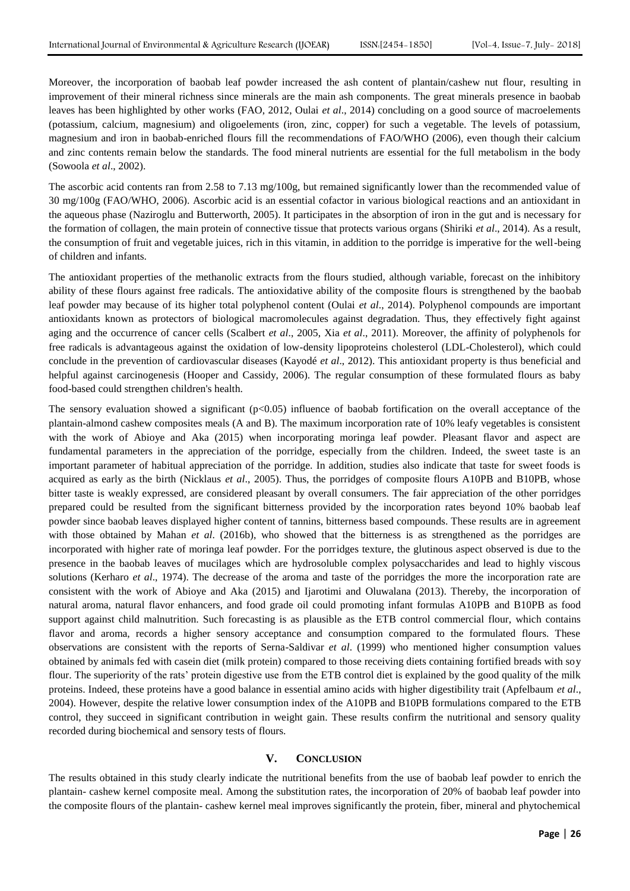Moreover, the incorporation of baobab leaf powder increased the ash content of plantain/cashew nut flour, resulting in improvement of their mineral richness since minerals are the main ash components. The great minerals presence in baobab leaves has been highlighted by other works (FAO, 2012, Oulai *et al*., 2014) concluding on a good source of macroelements (potassium, calcium, magnesium) and oligoelements (iron, zinc, copper) for such a vegetable. The levels of potassium, magnesium and iron in baobab-enriched flours fill the recommendations of FAO/WHO (2006), even though their calcium and zinc contents remain below the standards. The food mineral nutrients are essential for the full metabolism in the body (Sowoola *et al*., 2002).

The ascorbic acid contents ran from 2.58 to 7.13 mg/100g, but remained significantly lower than the recommended value of 30 mg/100g (FAO/WHO, 2006). Ascorbic acid is an essential cofactor in various biological reactions and an antioxidant in the aqueous phase (Naziroglu and Butterworth, 2005). It participates in the absorption of iron in the gut and is necessary for the formation of collagen, the main protein of connective tissue that protects various organs (Shiriki *et al*., 2014). As a result, the consumption of fruit and vegetable juices, rich in this vitamin, in addition to the porridge is imperative for the well-being of children and infants.

The antioxidant properties of the methanolic extracts from the flours studied, although variable, forecast on the inhibitory ability of these flours against free radicals. The antioxidative ability of the composite flours is strengthened by the baobab leaf powder may because of its higher total polyphenol content (Oulai *et al*., 2014). Polyphenol compounds are important antioxidants known as protectors of biological macromolecules against degradation. Thus, they effectively fight against aging and the occurrence of cancer cells (Scalbert *et al*., 2005, Xia *et al*., 2011). Moreover, the affinity of polyphenols for free radicals is advantageous against the oxidation of low-density lipoproteins cholesterol (LDL-Cholesterol), which could conclude in the prevention of cardiovascular diseases (Kayodé *et al*., 2012). This antioxidant property is thus beneficial and helpful against carcinogenesis (Hooper and Cassidy, 2006). The regular consumption of these formulated flours as baby food-based could strengthen children's health.

The sensory evaluation showed a significant  $(p<0.05)$  influence of baobab fortification on the overall acceptance of the plantain-almond cashew composites meals (A and B). The maximum incorporation rate of 10% leafy vegetables is consistent with the work of Abioye and Aka (2015) when incorporating moringa leaf powder. Pleasant flavor and aspect are fundamental parameters in the appreciation of the porridge, especially from the children. Indeed, the sweet taste is an important parameter of habitual appreciation of the porridge. In addition, studies also indicate that taste for sweet foods is acquired as early as the birth (Nicklaus *et al*., 2005). Thus, the porridges of composite flours A10PB and B10PB, whose bitter taste is weakly expressed, are considered pleasant by overall consumers. The fair appreciation of the other porridges prepared could be resulted from the significant bitterness provided by the incorporation rates beyond 10% baobab leaf powder since baobab leaves displayed higher content of tannins, bitterness based compounds. These results are in agreement with those obtained by Mahan *et al.* (2016b), who showed that the bitterness is as strengthened as the porridges are incorporated with higher rate of moringa leaf powder. For the porridges texture, the glutinous aspect observed is due to the presence in the baobab leaves of mucilages which are hydrosoluble complex polysaccharides and lead to highly viscous solutions (Kerharo *et al*., 1974). The decrease of the aroma and taste of the porridges the more the incorporation rate are consistent with the work of Abioye and Aka (2015) and Ijarotimi and Oluwalana (2013). Thereby, the incorporation of natural aroma, natural flavor enhancers, and food grade oil could promoting infant formulas A10PB and B10PB as food support against child malnutrition. Such forecasting is as plausible as the ETB control commercial flour, which contains flavor and aroma, records a higher sensory acceptance and consumption compared to the formulated flours. These observations are consistent with the reports of Serna-Saldivar *et al*. (1999) who mentioned higher consumption values obtained by animals fed with casein diet (milk protein) compared to those receiving diets containing fortified breads with soy flour. The superiority of the rats' protein digestive use from the ETB control diet is explained by the good quality of the milk proteins. Indeed, these proteins have a good balance in essential amino acids with higher digestibility trait (Apfelbaum *et al*., 2004). However, despite the relative lower consumption index of the A10PB and B10PB formulations compared to the ETB control, they succeed in significant contribution in weight gain. These results confirm the nutritional and sensory quality recorded during biochemical and sensory tests of flours.

# **V. CONCLUSION**

The results obtained in this study clearly indicate the nutritional benefits from the use of baobab leaf powder to enrich the plantain- cashew kernel composite meal. Among the substitution rates, the incorporation of 20% of baobab leaf powder into the composite flours of the plantain- cashew kernel meal improves significantly the protein, fiber, mineral and phytochemical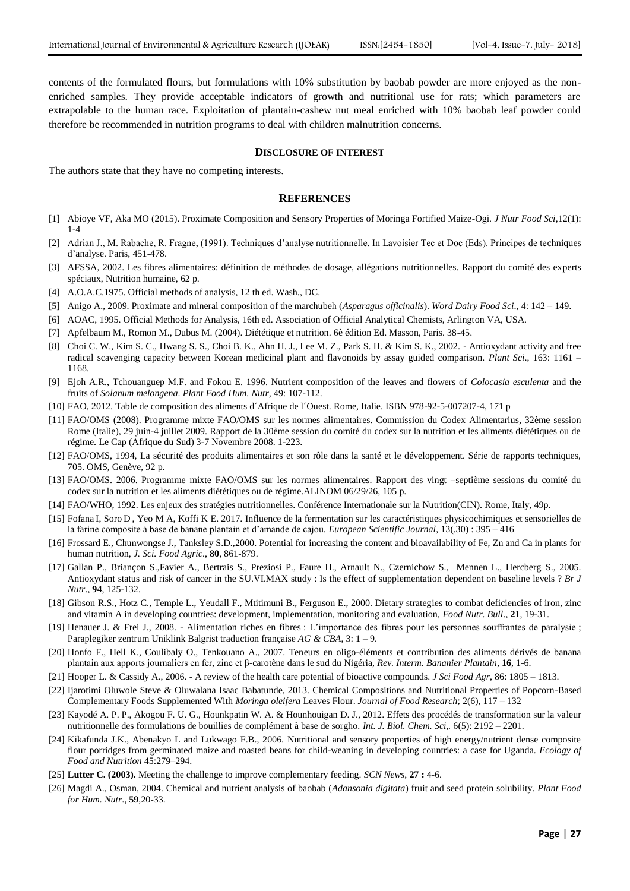contents of the formulated flours, but formulations with 10% substitution by baobab powder are more enjoyed as the nonenriched samples. They provide acceptable indicators of growth and nutritional use for rats; which parameters are extrapolable to the human race. Exploitation of plantain-cashew nut meal enriched with 10% baobab leaf powder could therefore be recommended in nutrition programs to deal with children malnutrition concerns.

#### **DISCLOSURE OF INTEREST**

The authors state that they have no competing interests.

#### **REFERENCES**

- [1] Abioye VF, Aka MO (2015). Proximate Composition and Sensory Properties of Moringa Fortified Maize-Ogi. *J Nutr Food Sci*,12(1): 1-4
- [2] Adrian J., M. Rabache, R. Fragne, (1991). Techniques d'analyse nutritionnelle. In Lavoisier Tec et Doc (Eds). Principes de techniques d'analyse. Paris, 451-478.
- [3] AFSSA, 2002. Les fibres alimentaires: définition de méthodes de dosage, allégations nutritionnelles. Rapport du comité des experts spéciaux, Nutrition humaine, 62 p.
- [4] A.O.A.C.1975. Official methods of analysis, 12 th ed. Wash., DC.
- [5] Anigo A., 2009. Proximate and mineral composition of the marchubeh (*Asparagus officinalis*). *Word Dairy Food Sci*., 4: 142 149.
- [6] AOAC, 1995. Official Methods for Analysis, 16th ed. Association of Official Analytical Chemists, Arlington VA, USA.
- [7] Apfelbaum M., Romon M., Dubus M. (2004). Diététique et nutrition. 6è édition Ed. Masson, Paris. 38-45.
- [8] Choi C. W., Kim S. C., Hwang S. S., Choi B. K., Ahn H. J., Lee M. Z., Park S. H. & Kim S. K., 2002. Antioxydant activity and free radical scavenging capacity between Korean medicinal plant and flavonoids by assay guided comparison. *Plant Sci*., 163: 1161 – 1168.
- [9] Ejoh A.R., Tchouanguep M.F. and Fokou E. 1996. Nutrient composition of the leaves and flowers of *Colocasia esculenta* and the fruits of *Solanum melongena*. *Plant Food Hum. Nutr,* 49: 107-112.
- [10] FAO, 2012. Table de composition des aliments d´Afrique de l´Ouest. Rome, Italie. ISBN 978-92-5-007207-4, 171 p
- [11] FAO/OMS (2008). Programme mixte FAO/OMS sur les normes alimentaires. Commission du Codex Alimentarius, 32ème session Rome (Italie), 29 juin-4 juillet 2009. Rapport de la 30ème session du comité du codex sur la nutrition et les aliments diététiques ou de régime. Le Cap (Afrique du Sud) 3-7 Novembre 2008. 1-223.
- [12] FAO/OMS, 1994, La sécurité des produits alimentaires et son rôle dans la santé et le développement. Série de rapports techniques, 705. OMS, Genève, 92 p.
- [13] FAO/OMS. 2006. Programme mixte FAO/OMS sur les normes alimentaires. Rapport des vingt –septième sessions du comité du codex sur la nutrition et les aliments diététiques ou de régime.ALINOM 06/29/26, 105 p.
- [14] FAO/WHO, 1992. Les enjeux des stratégies nutritionnelles. Conférence Internationale sur la Nutrition(CIN). Rome, Italy, 49p.
- [15] Fofana I, Soro D , Yeo M A, Koffi K E. 2017. Influence de la fermentation sur les caractéristiques physicochimiques et sensorielles de la farine composite à base de banane plantain et d'amande de cajou*. European Scientific Journal*, 13(.30) : 395 – 416
- [16] Frossard E., Chunwongse J., Tanksley S.D.,2000. Potential for increasing the content and bioavailability of Fe, Zn and Ca in plants for human nutrition, *J. Sci. Food Agric*., **80**, 861-879.
- [17] Gallan P., Briançon S.,Favier A., Bertrais S., Preziosi P., Faure H., Arnault N., Czernichow S., Mennen L., Hercberg S., 2005. Antioxydant status and risk of cancer in the SU.VI.MAX study : Is the effect of supplementation dependent on baseline levels ? *Br J Nutr*., **94**, 125-132.
- [18] Gibson R.S., Hotz C., Temple L., Yeudall F., Mtitimuni B., Ferguson E., 2000. Dietary strategies to combat deficiencies of iron, zinc and vitamin A in developing countries: development, implementation, monitoring and evaluation, *Food Nutr. Bull*., **21**, 19-31.
- [19] Henauer J. & Frei J., 2008. Alimentation riches en fibres : L'importance des fibres pour les personnes souffrantes de paralysie ; Paraplegiker zentrum Uniklink Balgrist traduction française *AG & CBA*, 3: 1 – 9.
- [20] Honfo F., Hell K., Coulibaly O., Tenkouano A., 2007. Teneurs en oligo-éléments et contribution des aliments dérivés de banana plantain aux apports journaliers en fer, zinc et β-carotène dans le sud du Nigéria, *Rev. Interm. Bananier Plantain*, **16**, 1-6.
- [21] Hooper L. & Cassidy A., 2006. A review of the health care potential of bioactive compounds. *J Sci Food Agr*, 86: 1805 1813.
- [22] Ijarotimi Oluwole Steve & Oluwalana Isaac Babatunde, 2013. Chemical Compositions and Nutritional Properties of Popcorn-Based Complementary Foods Supplemented With *Moringa oleifera* Leaves Flour. *Journal of Food Research*; 2(6), 117 – 132
- [23] Kayodé A. P. P., Akogou F. U. G., Hounkpatin W. A. & Hounhouigan D. J., 2012. Effets des procédés de transformation sur la valeur nutritionnelle des formulations de bouillies de complément à base de sorgho. *Int. J. Biol. Chem. Sci,.* 6(5): 2192 – 2201.
- [24] Kikafunda J.K., Abenakyo L and Lukwago F.B., 2006. Nutritional and sensory properties of high energy/nutrient dense composite flour porridges from germinated maize and roasted beans for child-weaning in developing countries: a case for Uganda. *Ecology of Food and Nutrition* 45:279–294.
- [25] **Lutter C. (2003).** Meeting the challenge to improve complementary feeding. *SCN News*, **27 :** 4-6.
- [26] Magdi A., Osman, 2004. Chemical and nutrient analysis of baobab (*Adansonia digitata*) fruit and seed protein solubility. *Plant Food for Hum. Nutr*., **59**,20-33.